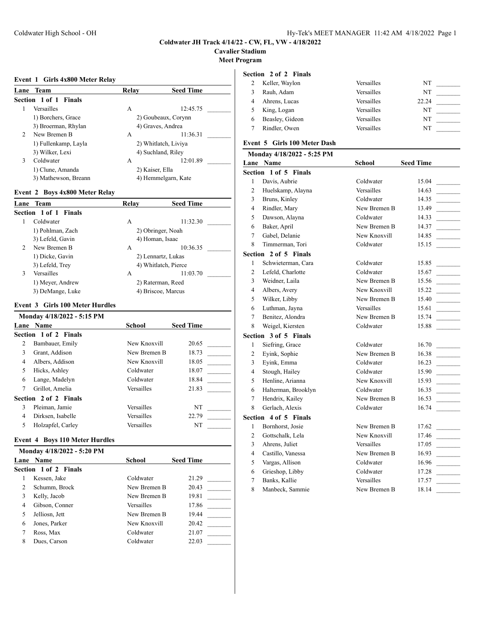# **Cavalier Stadium**

**Meet Program**

#### **Event 1 Girls 4x800 Meter Relay**

| Lane          | Team                  | Relav           | <b>Seed Time</b>     |
|---------------|-----------------------|-----------------|----------------------|
|               | Section 1 of 1 Finals |                 |                      |
|               | Versailles            | A               | 12:45.75             |
|               | 1) Borchers, Grace    |                 | 2) Goubeaux, Corynn  |
|               | 3) Broerman, Rhylan   |                 | 4) Graves, Andrea    |
| $\mathcal{D}$ | New Bremen B          | A               | 11:36.31             |
|               | 1) Fullenkamp, Layla  |                 | 2) Whitlatch, Liviya |
|               | 3) Wilker, Lexi       |                 | 4) Suchland, Riley   |
| 3             | Coldwater             | А               | 12:01.89             |
|               | 1) Clune, Amanda      | 2) Kaiser, Ella |                      |
|               | 3) Mathewson, Breann  |                 | 4) Hemmelgarn, Kate  |

### **Event 2 Boys 4x800 Meter Relay**

| Lane | Team                  | Relay | <b>Seed Time</b>     |
|------|-----------------------|-------|----------------------|
|      | Section 1 of 1 Finals |       |                      |
|      | Coldwater             | А     | 11:32.30             |
|      | 1) Pohlman, Zach      |       | 2) Obringer, Noah    |
|      | 3) Lefeld, Gavin      |       | 4) Homan, Isaac      |
| 2    | New Bremen B          | A     | 10:36.35             |
|      | 1) Dicke, Gavin       |       | 2) Lennartz, Lukas   |
|      | 3) Lefeld, Trey       |       | 4) Whitlatch, Pierce |
| 3    | Versailles            | A     | 11:03.70             |
|      | 1) Meyer, Andrew      |       | 2) Raterman, Reed    |
|      | 3) DeMange, Luke      |       | 4) Briscoe, Marcus   |

## **Event 3 Girls 100 Meter Hurdles**

| Monday 4/18/2022 - 5:15 PM |                       |              |                  |  |
|----------------------------|-----------------------|--------------|------------------|--|
|                            | Lane Name             | School       | <b>Seed Time</b> |  |
|                            | Section 1 of 2 Finals |              |                  |  |
| 2                          | Bambauer, Emily       | New Knoxvill | 20.65            |  |
| 3                          | Grant, Addison        | New Bremen B | 18.73            |  |
| 4                          | Albers, Addison       | New Knoxvill | 18.05            |  |
| 5                          | Hicks, Ashley         | Coldwater    | 18.07            |  |
| 6                          | Lange, Madelyn        | Coldwater    | 18.84            |  |
| 7                          | Grillot, Amelia       | Versailles   | 21.83            |  |
|                            | Section 2 of 2 Finals |              |                  |  |
| 3                          | Pleiman, Jamie        | Versailles   | NT               |  |
| 4                          | Dirksen, Isabelle     | Versailles   | 22.79            |  |
| 5                          | Holzapfel, Carley     | Versailles   | NT               |  |

# **Event 4 Boys 110 Meter Hurdles**

|   | Monday 4/18/2022 - 5:20 PM   |              |                  |  |  |
|---|------------------------------|--------------|------------------|--|--|
|   | <b>Lane Name</b>             | School       | <b>Seed Time</b> |  |  |
|   | <b>Section 1 of 2 Finals</b> |              |                  |  |  |
|   | Kessen, Jake                 | Coldwater    | 21.29            |  |  |
| 2 | Schumm, Brock                | New Bremen B | 20.43            |  |  |
| 3 | Kelly, Jacob                 | New Bremen B | 19.81            |  |  |
| 4 | Gibson, Conner               | Versailles   | 17.86            |  |  |
|   | Jelliosn, Jett               | New Bremen B | 19.44            |  |  |
| 6 | Jones, Parker                | New Knoxvill | 20.42            |  |  |
|   | Ross, Max                    | Coldwater    | 21.07            |  |  |
| 8 | Dues, Carson                 | Coldwater    | 22.03            |  |  |

| Section 2 of 2 Finals |  |  |
|-----------------------|--|--|
|                       |  |  |

|   | Keller, Waylon  | Versailles | NT    |  |
|---|-----------------|------------|-------|--|
|   | Rauh, Adam      | Versailles | NT    |  |
|   | Ahrens, Lucas   | Versailles | 22.24 |  |
|   | King, Logan     | Versailles | NT    |  |
| 6 | Beasley, Gideon | Versailles | NT    |  |
|   | Rindler, Owen   | Versailles | NT    |  |

# **Event 5 Girls 100 Meter Dash**

|                | Monday 4/18/2022 - 5:25 PM   |              |                                                                                                |
|----------------|------------------------------|--------------|------------------------------------------------------------------------------------------------|
|                | <b>Lane Name</b>             | School       | <b>Seed Time</b>                                                                               |
|                | Section 1 of 5 Finals        |              |                                                                                                |
| $\mathbf{1}$   | Davis, Aubrie                | Coldwater    | 15.04                                                                                          |
| $\overline{c}$ | Huelskamp, Alayna            | Versailles   | 14.63<br>$\sim 10^{11}$                                                                        |
| 3              | Bruns, Kinley                | Coldwater    | 14.35                                                                                          |
| 4              | Rindler, Mary                | New Bremen B | 13.49<br>$\mathcal{L}^{\mathcal{L}}$ , where $\mathcal{L}^{\mathcal{L}}$                       |
| 5              | Dawson, Alayna               | Coldwater    | 14.33<br>$\sim$ 100 $\mu$                                                                      |
| 6              | Baker, April                 | New Bremen B | 14.37<br>$\sim$                                                                                |
| 7              | Gabel, Delanie               | New Knoxvill | 14.85                                                                                          |
| 8              | Timmerman, Tori              | Coldwater    | 15.15                                                                                          |
|                | Section 2 of 5 Finals        |              |                                                                                                |
| 1              | Schwieterman, Cara           | Coldwater    | 15.85                                                                                          |
| $\overline{c}$ | Lefeld, Charlotte            | Coldwater    | 15.67                                                                                          |
| 3              | Weidner, Laila               | New Bremen B | 15.56                                                                                          |
| 4              | Albers, Avery                | New Knoxvill | 15.22<br>$\sim$                                                                                |
| 5              | Wilker, Libby                | New Bremen B | 15.40<br>$\sim$                                                                                |
| 6              | Luthman, Jayna               | Versailles   | 15.61<br><b>Contract</b>                                                                       |
| 7              | Benitez, Alondra             | New Bremen B | 15.74                                                                                          |
| 8              | Weigel, Kiersten             | Coldwater    | 15.88                                                                                          |
|                | Section 3 of 5 Finals        |              |                                                                                                |
| $\mathbf{1}$   | Siefring, Grace              | Coldwater    | 16.70                                                                                          |
| 2              | Eyink, Sophie                | New Bremen B | 16.38                                                                                          |
| 3              | Eyink, Emma                  | Coldwater    | 16.23<br>$\mathcal{L}^{\text{max}}$                                                            |
| 4              | Stough, Hailey               | Coldwater    | 15.90                                                                                          |
| 5              | Henline, Arianna             | New Knoxvill | 15.93<br>$\sim$                                                                                |
| 6              | Halterman, Brooklyn          | Coldwater    | 16.35<br>$\mathcal{L}^{\text{max}}_{\text{max}}$ , and $\mathcal{L}^{\text{max}}_{\text{max}}$ |
| 7              | Hendrix, Kailey              | New Bremen B | 16.53                                                                                          |
| 8              | Gerlach, Alexis              | Coldwater    | 16.74                                                                                          |
|                | <b>Section 4 of 5 Finals</b> |              |                                                                                                |
| 1              | Bornhorst, Josie             | New Bremen B | 17.62                                                                                          |
| $\overline{c}$ | Gottschalk, Lela             | New Knoxvill | 17.46                                                                                          |
| 3              | Ahrens, Juliet               | Versailles   | 17.05                                                                                          |
| $\overline{4}$ | Castillo, Vanessa            | New Bremen B | 16.93                                                                                          |
| 5              | Vargas, Allison              | Coldwater    | 16.96                                                                                          |
| 6              | Grieshop, Libby              | Coldwater    | 17.28                                                                                          |
| 7              | Banks, Kallie                | Versailles   | 17.57                                                                                          |
| 8              | Manbeck, Sammie              | New Bremen B | 18.14                                                                                          |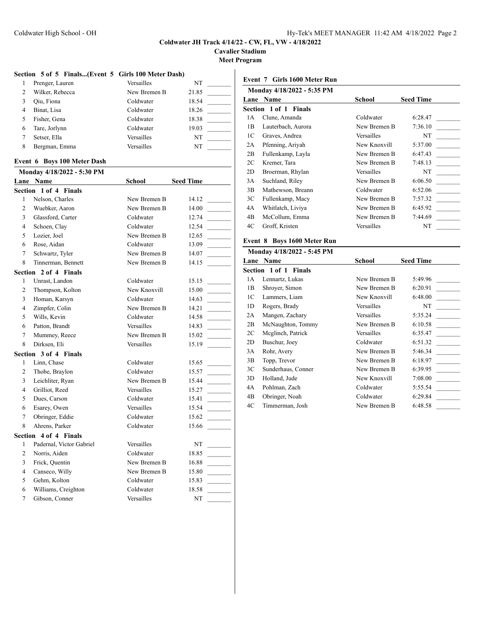**Cavalier Stadium**

**Meet Program**

 $\overline{\phantom{a}}$ 

## **Section 5 of 5 Finals...(Event 5 Girls 100 Meter Dash)**

|   | Prenger, Lauren | Versailles   | NT    |
|---|-----------------|--------------|-------|
|   | Wilker, Rebecca | New Bremen B | 21.85 |
|   | Oiu, Fiona      | Coldwater    | 18.54 |
| 4 | Binat, Lisa     | Coldwater    | 18.26 |
|   | Fisher, Gena    | Coldwater    | 18.38 |
| 6 | Tare, Jorlynn   | Coldwater    | 19.03 |
|   | Setser, Ella    | Versailles   | NT    |
| 8 | Bergman, Emma   | Versailles   | NT    |

### **Event 6 Boys 100 Meter Dash**

| Monday 4/18/2022 - 5:30 PM |                              |              |                  |  |
|----------------------------|------------------------------|--------------|------------------|--|
|                            | Lane Name                    | School       | <b>Seed Time</b> |  |
|                            | <b>Section 1 of 4 Finals</b> |              |                  |  |
| $\mathbf{1}$               | Nelson, Charles              | New Bremen B | 14.12            |  |
| $\overline{2}$             | Wuebker, Aaron               | New Bremen B | 14.00            |  |
| 3                          | Glassford, Carter            | Coldwater    | 12.74            |  |
| 4                          | Schoen, Clay                 | Coldwater    | 12.54            |  |
| 5                          | Lozier, Joel                 | New Bremen B | 12.65            |  |
| 6                          | Rose, Aidan                  | Coldwater    | 13.09            |  |
| 7                          | Schwartz, Tyler              | New Bremen B | 14.07            |  |
| 8                          | Tinnerman, Bennett           | New Bremen B | 14.15            |  |
|                            | Section 2 of 4 Finals        |              |                  |  |
| $\mathbf{1}$               | Unrast, Landon               | Coldwater    | 15.15            |  |
| $\overline{c}$             | Thompson, Kolton             | New Knoxvill | 15.00            |  |
| 3                          | Homan, Karsyn                | Coldwater    | 14.63            |  |
| $\overline{\mathcal{L}}$   | Zimpfer, Colin               | New Bremen B | 14.21            |  |
| 5                          | Wills, Kevin                 | Coldwater    | 14.58            |  |
| 6                          | Patton, Brandt               | Versailles   | 14.83            |  |
| 7                          | Mummey, Reece                | New Bremen B | 15.02            |  |
| 8                          | Dirksen, Eli                 | Versailles   | 15.19            |  |
|                            | Section 3 of 4 Finals        |              |                  |  |
| 1                          | Linn, Chase                  | Coldwater    | 15.65            |  |
| $\overline{c}$             | Thobe, Braylon               | Coldwater    | 15.57            |  |
| 3                          | Leichliter, Ryan             | New Bremen B | 15.44            |  |
| 4                          | Grilliot, Reed               | Versailles   | 15.27            |  |
| 5                          | Dues, Carson                 | Coldwater    | 15.41            |  |
| 6                          | Esarey, Owen                 | Versailles   | 15.54            |  |
| 7                          | Obringer, Eddie              | Coldwater    | 15.62            |  |
| 8                          | Ahrens, Parker               | Coldwater    | 15.66            |  |
|                            | <b>Section 4 of 4 Finals</b> |              |                  |  |
| $\mathbf{1}$               | Padernal, Victor Gabriel     | Versailles   | NT               |  |
| $\overline{c}$             | Norris, Aiden                | Coldwater    | 18.85            |  |
| 3                          | Frick, Quentin               | New Bremen B | 16.88            |  |
| 4                          | Canseco, Willy               | New Bremen B | 15.80            |  |
| 5                          | Gehm, Kolton                 | Coldwater    | 15.83            |  |
| 6                          | Williams, Creighton          | Coldwater    | 18.58            |  |
| 7                          | Gibson, Conner               | Versailles   | NT               |  |

## **Event 7 Girls 1600 Meter Run**

| Monday 4/18/2022 - 5:35 PM |                          |                   |                  |  |
|----------------------------|--------------------------|-------------------|------------------|--|
|                            | <b>Lane Name</b>         | School            | <b>Seed Time</b> |  |
|                            | Section 1 of 1<br>Finals |                   |                  |  |
| 1А                         | Clune, Amanda            | Coldwater         | 6:28.47          |  |
| 1B                         | Lauterbach, Aurora       | New Bremen B      | 7:36.10          |  |
| 1C                         | Graves, Andrea           | <b>Versailles</b> | NT               |  |
| 2A                         | Pfenning, Ariyah         | New Knoxvill      | 5:37.00          |  |
| 2B                         | Fullenkamp, Layla        | New Bremen B      | 6:47.43          |  |
| 2C                         | Kremer, Tara             | New Bremen B      | 7:48.13          |  |
| 2D                         | Broerman, Rhylan         | Versailles        | NT               |  |
| 3A                         | Suchland, Riley          | New Bremen B      | 6:06.50          |  |
| 3B                         | Mathewson, Breann        | Coldwater         | 6:52.06          |  |
| 3C                         | Fullenkamp, Macy         | New Bremen B      | 7:57.32          |  |
| 4A                         | Whitlatch, Liviya        | New Bremen B      | 6:45.92          |  |
| 4B                         | McCollum, Emma           | New Bremen B      | 7:44.69          |  |
| 4C                         | Groff, Kristen           | Versailles        | NT               |  |

### **Event 8 Boys 1600 Meter Run**

|                | Monday 4/18/2022 - 5:45 PM |              |                  |
|----------------|----------------------------|--------------|------------------|
| Lane           | Name                       | School       | <b>Seed Time</b> |
|                | Section 1 of 1 Finals      |              |                  |
| 1А             | Lennartz, Lukas            | New Bremen B | 5:49.96          |
| 1B             | Shroyer, Simon             | New Bremen B | 6:20.91          |
| 1C             | Lammers, Liam              | New Knoxvill | 6:48.00          |
| 1 <sub>D</sub> | Rogers, Brady              | Versailles   | NT               |
| 2A             | Mangen, Zachary            | Versailles   | 5:35.24          |
| 2B             | McNaughton, Tommy          | New Bremen B | 6:10.58          |
| 2C             | Meglinch, Patrick          | Versailles   | 6:35.47          |
| 2D             | Buschur, Joey              | Coldwater    | 6:51.32          |
| 3A             | Rohr, Avery                | New Bremen B | 5:46.34          |
| 3B             | Topp, Trevor               | New Bremen B | 6:18.97          |
| 3C             | Sunderhaus, Conner         | New Bremen B | 6:39.95          |
| 3D             | Holland, Jude              | New Knoxvill | 7:08.00          |
| 4A             | Pohlman, Zach              | Coldwater    | 5:55.54          |
| 4B             | Obringer, Noah             | Coldwater    | 6:29.84          |
| 4C             | Timmerman, Josh            | New Bremen B | 6:48.58          |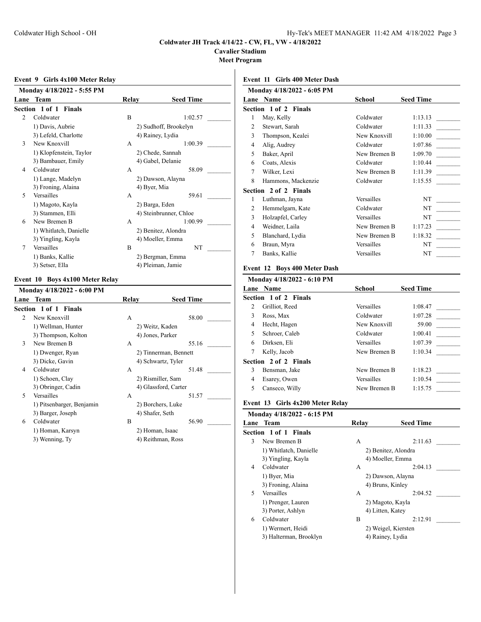**Cavalier Stadium**

**Meet Program**

### **Event 9 Girls 4x100 Meter Relay**

|                         | Monday 4/18/2022 - 5:55 PM |                  |                        |  |  |
|-------------------------|----------------------------|------------------|------------------------|--|--|
| Lane                    | Team                       | Relay            | <b>Seed Time</b>       |  |  |
|                         | Section 1 of 1 Finals      |                  |                        |  |  |
| $\mathfrak{D}$          | Coldwater                  | B                | 1:02.57                |  |  |
|                         | 1) Davis, Aubrie           |                  | 2) Sudhoff, Brookelyn  |  |  |
|                         | 3) Lefeld, Charlotte       |                  | 4) Rainey, Lydia       |  |  |
| 3                       | New Knoxvill               | A                | 1:00.39                |  |  |
| 1) Klopfenstein, Taylor |                            | 2) Chede, Sannah |                        |  |  |
|                         | 3) Bambauer, Emily         |                  | 4) Gabel, Delanie      |  |  |
| 4                       | Coldwater                  | A                | 58.09                  |  |  |
|                         | 1) Lange, Madelyn          |                  | 2) Dawson, Alayna      |  |  |
|                         | 3) Froning, Alaina         |                  | 4) Byer, Mia           |  |  |
| 5                       | Versailles                 | A                | 59.61                  |  |  |
|                         | 1) Magoto, Kayla           |                  | 2) Barga, Eden         |  |  |
|                         | 3) Stammen, Elli           |                  | 4) Steinbrunner, Chloe |  |  |
| 6                       | New Bremen B               | A                | 1:00.99                |  |  |
|                         | 1) Whitlatch, Danielle     |                  | 2) Benitez, Alondra    |  |  |
|                         | 3) Yingling, Kayla         |                  | 4) Moeller, Emma       |  |  |
| 7                       | Versailles                 | B                | NT                     |  |  |
|                         | 1) Banks, Kallie           |                  | 2) Bergman, Emma       |  |  |
|                         | 3) Setser, Ella            |                  | 4) Pleiman, Jamie      |  |  |

### **Event 10 Boys 4x100 Meter Relay**

|                | Monday 4/18/2022 - 6:00 PM |                       |                      |       |  |
|----------------|----------------------------|-----------------------|----------------------|-------|--|
|                | Lane Team                  | Relay                 | <b>Seed Time</b>     |       |  |
|                | Section 1 of 1 Finals      |                       |                      |       |  |
| $\mathfrak{D}$ | New Knoxvill               | A                     |                      | 58.00 |  |
|                | 1) Wellman, Hunter         | 2) Weitz, Kaden       |                      |       |  |
|                | 3) Thompson, Kolton        |                       | 4) Jones, Parker     |       |  |
| 3              | New Bremen B               | A                     |                      | 55.16 |  |
|                | 1) Dwenger, Ryan           | 2) Tinnerman, Bennett |                      |       |  |
|                | 3) Dicke, Gavin            |                       | 4) Schwartz, Tyler   |       |  |
| 4              | Coldwater                  | A                     |                      | 51.48 |  |
|                | 1) Schoen, Clay            |                       | 2) Rismiller, Sam    |       |  |
|                | 3) Obringer, Cadin         |                       | 4) Glassford, Carter |       |  |
| 5              | Versailles                 | A                     |                      | 51.57 |  |
|                | 1) Pitsenbarger, Benjamin  |                       | 2) Borchers, Luke    |       |  |
|                | 3) Barger, Joseph          |                       | 4) Shafer, Seth      |       |  |
| 6              | Coldwater                  | B                     |                      | 56.90 |  |
|                | 1) Homan, Karsyn           |                       | 2) Homan, Isaac      |       |  |
|                | 3) Wenning, Ty             |                       | 4) Reithman, Ross    |       |  |
|                |                            |                       |                      |       |  |
|                |                            |                       |                      |       |  |

# **Event 11 Girls 400 Meter Dash**

|   | Monday 4/18/2022 - 6:05 PM   |              |                  |
|---|------------------------------|--------------|------------------|
|   | <b>Lane Name</b>             | School       | <b>Seed Time</b> |
|   | <b>Section 1 of 2 Finals</b> |              |                  |
| 1 | May, Kelly                   | Coldwater    | 1:13.13          |
| 2 | Stewart, Sarah               | Coldwater    | 1:11.33          |
| 3 | Thompson, Kealei             | New Knoxvill | 1:10.00          |
| 4 | Alig, Audrey                 | Coldwater    | 1:07.86          |
| 5 | Baker, April                 | New Bremen B | 1:09.70          |
| 6 | Coats, Alexis                | Coldwater    | 1:10.44          |
| 7 | Wilker, Lexi                 | New Bremen B | 1:11.39          |
| 8 | Hammons, Mackenzie           | Coldwater    | 1:15.55          |
|   | <b>Section 2 of 2 Finals</b> |              |                  |
| 1 | Luthman, Jayna               | Versailles   | NT               |
| 2 | Hemmelgarn, Kate             | Coldwater    | NT               |
| 3 | Holzapfel, Carley            | Versailles   | NT               |
| 4 | Weidner, Laila               | New Bremen B | 1:17.23          |
| 5 | Blanchard, Lydia             | New Bremen B | 1:18.32          |
| 6 | Braun, Myra                  | Versailles   | NT               |
| 7 | Banks, Kallie                | Versailles   | NT               |

# **Event 12 Boys 400 Meter Dash**

| Monday 4/18/2022 - 6:10 PM |                              |                   |                  |
|----------------------------|------------------------------|-------------------|------------------|
|                            | <b>Lane Name</b>             | School            | <b>Seed Time</b> |
|                            | <b>Section 1 of 2 Finals</b> |                   |                  |
| 2                          | Grilliot, Reed               | <b>Versailles</b> | 1:08.47          |
| 3                          | Ross, Max                    | Coldwater         | 1:07.28          |
| 4                          | Hecht, Hagen                 | New Knoxvill      | 59.00            |
| 5                          | Schroer, Caleb               | Coldwater         | 1:00.41          |
| 6                          | Dirksen, Eli                 | Versailles        | 1:07.39          |
| 7                          | Kelly, Jacob                 | New Bremen B      | 1:10.34          |
|                            | Section 2 of 2 Finals        |                   |                  |
| 3                          | Bensman, Jake                | New Bremen B      | 1:18.23          |
| 4                          | Esarey, Owen                 | Versailles        | 1:10.54          |
| 5                          | Canseco, Willy               | New Bremen B      | 1:15.75          |
|                            |                              |                   |                  |

## **Event 13 Girls 4x200 Meter Relay**

|   | Monday 4/18/2022 - 6:15 PM   |                   |                     |  |
|---|------------------------------|-------------------|---------------------|--|
|   | Lane Team                    | Relay             | <b>Seed Time</b>    |  |
|   | <b>Section 1 of 1 Finals</b> |                   |                     |  |
| 3 | New Bremen B                 | А                 | 2:11.63             |  |
|   | 1) Whitlatch, Danielle       |                   | 2) Benitez, Alondra |  |
|   | 3) Yingling, Kayla           |                   | 4) Moeller, Emma    |  |
| 4 | Coldwater                    | A                 | 2:04.13             |  |
|   | 1) Byer, Mia                 | 2) Dawson, Alayna |                     |  |
|   | 3) Froning, Alaina           |                   | 4) Bruns, Kinley    |  |
| 5 | Versailles                   | A                 | 2:04.52             |  |
|   | 1) Prenger, Lauren           | 2) Magoto, Kayla  |                     |  |
|   | 3) Porter, Ashlyn            |                   | 4) Litten, Katev    |  |
| 6 | Coldwater                    | B                 | 2:12.91             |  |
|   | 1) Wermert, Heidi            |                   | 2) Weigel, Kiersten |  |
|   | 3) Halterman, Brooklyn       |                   | 4) Rainey, Lydia    |  |
|   |                              |                   |                     |  |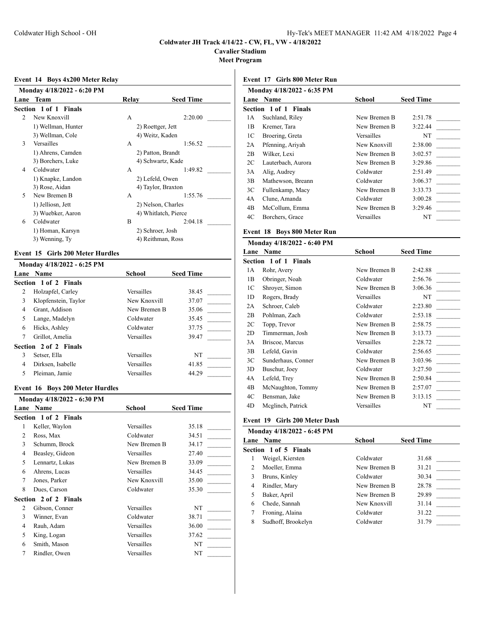**Cavalier Stadium**

**Meet Program**

## **Event 14 Boys 4x200 Meter Relay**

|                | Monday 4/18/2022 - 6:20 PM |                   |                      |  |  |
|----------------|----------------------------|-------------------|----------------------|--|--|
|                | Lane Team                  | Relay             | <b>Seed Time</b>     |  |  |
|                | Section 1 of 1 Finals      |                   |                      |  |  |
| $\mathfrak{D}$ | New Knoxvill               | A                 | 2:20.00              |  |  |
|                | 1) Wellman, Hunter         | 2) Roettger, Jett |                      |  |  |
|                | 3) Wellman, Cole           |                   | 4) Weitz, Kaden      |  |  |
| 3              | Versailles                 | A                 | 1:56.52              |  |  |
|                | 1) Ahrens, Camden          |                   | 2) Patton, Brandt    |  |  |
|                | 3) Borchers, Luke          | 4) Schwartz, Kade |                      |  |  |
| 4              | Coldwater                  | A                 | 1:49.82              |  |  |
|                | 1) Knapke, Landon          |                   | 2) Lefeld, Owen      |  |  |
|                | 3) Rose, Aidan             |                   | 4) Taylor, Braxton   |  |  |
| 5              | New Bremen B               | A                 | 1:55.76              |  |  |
|                | 1) Jelliosn, Jett          |                   | 2) Nelson, Charles   |  |  |
|                | 3) Wuebker, Aaron          |                   | 4) Whitlatch, Pierce |  |  |
| 6              | Coldwater                  | B                 | 2:04.18              |  |  |
|                | 1) Homan, Karsyn           |                   | 2) Schroer, Josh     |  |  |
|                | 3) Wenning, Ty             |                   | 4) Reithman, Ross    |  |  |
|                |                            |                   |                      |  |  |

### **Event 15 Girls 200 Meter Hurdles**

| Monday 4/18/2022 - 6:25 PM |              |                  |
|----------------------------|--------------|------------------|
| Lane Name                  | School       | <b>Seed Time</b> |
| Section 1 of 2 Finals      |              |                  |
| Holzapfel, Carley          | Versailles   | 38.45            |
| Klopfenstein, Taylor       | New Knoxvill | 37.07            |
| Grant, Addison             | New Bremen B | 35.06            |
| Lange, Madelyn             | Coldwater    | 35.45            |
| Hicks, Ashley              | Coldwater    | 37.75            |
| Grillot, Amelia            | Versailles   | 39.47            |
| Section 2 of 2 Finals      |              |                  |
| Setser, Ella               | Versailles   | NT               |
| Dirksen, Isabelle          | Versailles   | 41.85            |
| Pleiman, Jamie             | Versailles   | 44.29            |
|                            |              |                  |

## **Event 16 Boys 200 Meter Hurdles**

|   | Monday 4/18/2022 - 6:30 PM   |              |                  |
|---|------------------------------|--------------|------------------|
|   | <b>Lane Name</b>             | School       | <b>Seed Time</b> |
|   | <b>Section 1 of 2 Finals</b> |              |                  |
| 1 | Keller, Waylon               | Versailles   | 35.18            |
| 2 | Ross, Max                    | Coldwater    | 34.51            |
| 3 | Schumm, Brock                | New Bremen B | 34.17            |
| 4 | Beasley, Gideon              | Versailles   | 27.40            |
| 5 | Lennartz, Lukas              | New Bremen B | 33.09            |
| 6 | Ahrens, Lucas                | Versailles   | 34.45            |
| 7 | Jones, Parker                | New Knoxvill | 35.00            |
| 8 | Dues, Carson                 | Coldwater    | 35.30            |
|   | <b>Section 2 of 2 Finals</b> |              |                  |
| 2 | Gibson, Conner               | Versailles   | NT               |
| 3 | Winner, Evan                 | Coldwater    | 38.71            |
| 4 | Rauh, Adam                   | Versailles   | 36.00            |
| 5 | King, Logan                  | Versailles   | 37.62            |
| 6 | Smith, Mason                 | Versailles   | NT               |
| 7 | Rindler, Owen                | Versailles   | NT               |
|   |                              |              |                  |

## **Event 17 Girls 800 Meter Run**

|    | Monday 4/18/2022 - 6:35 PM |              |                  |
|----|----------------------------|--------------|------------------|
|    | <b>Lane Name</b>           | School       | <b>Seed Time</b> |
|    | Section 1 of 1 Finals      |              |                  |
| 1A | Suchland, Riley            | New Bremen B | 2:51.78          |
| 1B | Kremer, Tara               | New Bremen B | 3:22.44          |
| 1C | Broering, Greta            | Versailles   | NT               |
| 2A | Pfenning, Ariyah           | New Knoxvill | 2:38.00          |
| 2B | Wilker, Lexi               | New Bremen B | 3:02.57          |
| 2C | Lauterbach, Aurora         | New Bremen B | 3:29.86          |
| 3A | Alig, Audrey               | Coldwater    | 2:51.49          |
| 3B | Mathewson, Breann          | Coldwater    | 3:06.37          |
| 3C | Fullenkamp, Macy           | New Bremen B | 3:33.73          |
| 4A | Clune, Amanda              | Coldwater    | 3:00.28          |
| 4B | McCollum, Emma             | New Bremen B | 3:29.46          |
| 4C | Borchers, Grace            | Versailles   | NT               |

#### **Event 18 Boys 800 Meter Run**

| Monday 4/18/2022 - 6:40 PM |                              |              |                  |
|----------------------------|------------------------------|--------------|------------------|
| Lane                       | <b>Name</b>                  | School       | <b>Seed Time</b> |
|                            | <b>Section 1 of 1 Finals</b> |              |                  |
| 1A                         | Rohr, Avery                  | New Bremen B | 2:42.88          |
| 1B                         | Obringer, Noah               | Coldwater    | 2:56.76          |
| 1C                         | Shroyer, Simon               | New Bremen B | 3:06.36          |
| 1 <sub>D</sub>             | Rogers, Brady                | Versailles   | NT               |
| 2A                         | Schroer, Caleb               | Coldwater    | 2:23.80          |
| 2B                         | Pohlman, Zach                | Coldwater    | 2:53.18          |
| 2C                         | Topp, Trevor                 | New Bremen B | 2:58.75          |
| 2D                         | Timmerman, Josh              | New Bremen B | 3:13.73          |
| 3A                         | Briscoe, Marcus              | Versailles   | 2:28.72          |
| 3B                         | Lefeld, Gavin                | Coldwater    | 2:56.65          |
| 3C                         | Sunderhaus, Conner           | New Bremen B | 3:03.96          |
| 3D                         | Buschur, Joey                | Coldwater    | 3:27.50          |
| 4Α                         | Lefeld, Trey                 | New Bremen B | 2:50.84          |
| 4B                         | McNaughton, Tommy            | New Bremen B | 2:57.07          |
| 4C                         | Bensman, Jake                | New Bremen B | 3:13.15          |
| 4D                         | Meglinch, Patrick            | Versailles   | NT               |

# **Event 19 Girls 200 Meter Dash**

|   | Monday 4/18/2022 - 6:45 PM |              |                  |
|---|----------------------------|--------------|------------------|
|   | Lane Name                  | School       | <b>Seed Time</b> |
|   | Section 1 of 5 Finals      |              |                  |
| ı | Weigel, Kiersten           | Coldwater    | 31.68            |
| 2 | Moeller, Emma              | New Bremen B | 31.21            |
| 3 | Bruns, Kinley              | Coldwater    | 30.34            |
| 4 | Rindler, Mary              | New Bremen B | 28.78            |
| 5 | Baker, April               | New Bremen B | 29.89            |
| 6 | Chede, Sannah              | New Knoxvill | 31.14            |
| 7 | Froning, Alaina            | Coldwater    | 31.22            |
| 8 | Sudhoff, Brookelyn         | Coldwater    | 31.79            |
|   |                            |              |                  |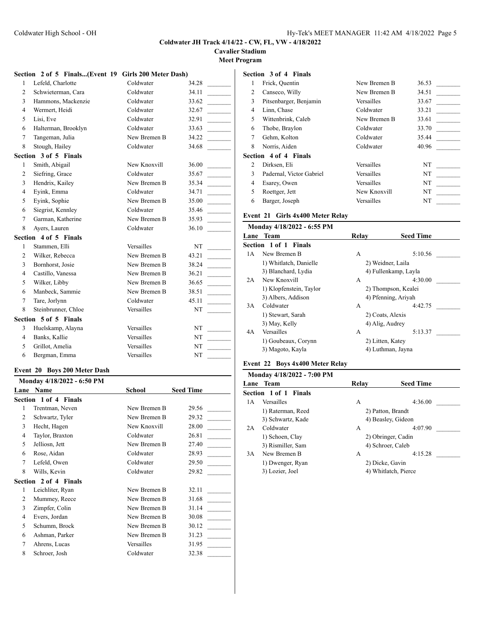**Cavalier Stadium**

**Meet Program**

# **Section 2 of 5 Finals...(Event 19 Girls 200 Meter Dash)**

| 1              | Lefeld, Charlotte     | Coldwater    | 34.28 |
|----------------|-----------------------|--------------|-------|
| 2              | Schwieterman, Cara    | Coldwater    | 34.11 |
| 3              | Hammons, Mackenzie    | Coldwater    | 33.62 |
| $\overline{4}$ | Wermert, Heidi        | Coldwater    | 32.67 |
| 5              | Lisi, Eve             | Coldwater    | 32.91 |
| 6              | Halterman, Brooklyn   | Coldwater    | 33.63 |
| 7              | Tangeman, Julia       | New Bremen B | 34.22 |
| 8              | Stough, Hailey        | Coldwater    | 34.68 |
|                | Section 3 of 5 Finals |              |       |
| 1              | Smith, Abigail        | New Knoxvill | 36.00 |
| $\overline{2}$ | Siefring, Grace       | Coldwater    | 35.67 |
| 3              | Hendrix, Kailey       | New Bremen B | 35.34 |
| $\overline{4}$ | Eyink, Emma           | Coldwater    | 34.71 |
| 5              | Eyink, Sophie         | New Bremen B | 35.00 |
| 6              | Siegrist, Kennley     | Coldwater    | 35.46 |
| $\tau$         | Garman, Katherine     | New Bremen B | 35.93 |
| 8              | Ayers, Lauren         | Coldwater    | 36.10 |
|                | Section 4 of 5 Finals |              |       |
| $\mathbf{1}$   | Stammen, Elli         | Versailles   | NT    |
| 2              | Wilker, Rebecca       | New Bremen B | 43.21 |
| 3              | Bornhorst, Josie      | New Bremen B | 38.24 |
| $\overline{4}$ | Castillo, Vanessa     | New Bremen B | 36.21 |
| 5              | Wilker, Libby         | New Bremen B | 36.65 |
| 6              | Manbeck, Sammie       | New Bremen B | 38.51 |
| 7              | Tare, Jorlynn         | Coldwater    | 45.11 |
| 8              | Steinbrunner, Chloe   | Versailles   | NT    |
|                | Section 5 of 5 Finals |              |       |
| 3              | Huelskamp, Alayna     | Versailles   | NT    |
| $\overline{4}$ | Banks, Kallie         | Versailles   | NT    |
| 5              | Grillot, Amelia       | Versailles   | NT    |
| 6              | Bergman, Emma         | Versailles   | NT    |

## **Event 20 Boys 200 Meter Dash**

|      | Monday 4/18/2022 - 6:50 PM |              |                  |  |  |
|------|----------------------------|--------------|------------------|--|--|
| Lane | Name                       | School       | <b>Seed Time</b> |  |  |
|      | Section 1 of 4 Finals      |              |                  |  |  |
| 1    | Trentman, Neven            | New Bremen B | 29.56            |  |  |
| 2    | Schwartz, Tyler            | New Bremen B | 29.32            |  |  |
| 3    | Hecht, Hagen               | New Knoxvill | 28.00            |  |  |
| 4    | Taylor, Braxton            | Coldwater    | 26.81            |  |  |
| 5    | Jelliosn, Jett             | New Bremen B | 27.40            |  |  |
| 6    | Rose, Aidan                | Coldwater    | 28.93            |  |  |
| 7    | Lefeld, Owen               | Coldwater    | 29.50            |  |  |
| 8    | Wills, Kevin               | Coldwater    | 29.82            |  |  |
|      | Section 2 of 4 Finals      |              |                  |  |  |
| 1    | Leichliter, Ryan           | New Bremen B | 32.11            |  |  |
| 2    | Mummey, Reece              | New Bremen B | 31.68            |  |  |
| 3    | Zimpfer, Colin             | New Bremen B | 31.14            |  |  |
| 4    | Evers, Jordan              | New Bremen B | 30.08            |  |  |
| 5    | Schumm, Brock              | New Bremen B | 30.12            |  |  |
| 6    | Ashman, Parker             | New Bremen B | 31.23            |  |  |
| 7    | Ahrens, Lucas              | Versailles   | 31.95            |  |  |
| 8    | Schroer, Josh              | Coldwater    | 32.38            |  |  |

## **Section 3 of 4 Finals**

|   | Frick, Quentin               | New Bremen B | 36.53 |
|---|------------------------------|--------------|-------|
| 2 | Canseco, Willy               | New Bremen B | 34.51 |
| 3 | Pitsenbarger, Benjamin       | Versailles   | 33.67 |
| 4 | Linn, Chase                  | Coldwater    | 33.21 |
| 5 | Wittenbrink, Caleb           | New Bremen B | 33.61 |
| 6 | Thobe, Braylon               | Coldwater    | 33.70 |
| 7 | Gehm, Kolton                 | Coldwater    | 35.44 |
| 8 | Norris, Aiden                | Coldwater    | 40.96 |
|   | <b>Section 4 of 4 Finals</b> |              |       |
| 2 | Dirksen, Eli                 | Versailles   | NT    |
| 3 | Padernal, Victor Gabriel     | Versailles   | NT    |
| 4 | Esarey, Owen                 | Versailles   | NT    |
| 5 | Roettger, Jett               | New Knoxvill | NT    |
| 6 | Barger, Joseph               | Versailles   | NT    |

## **Event 21 Girls 4x400 Meter Relay**

| Monday 4/18/2022 - 6:55 PM |       |                      |
|----------------------------|-------|----------------------|
| Lane Team                  | Relay | <b>Seed Time</b>     |
| Section 1 of 1 Finals      |       |                      |
| New Bremen B               | A     | 5:10.56              |
| 1) Whitlatch, Danielle     |       | 2) Weidner, Laila    |
| 3) Blanchard, Lydia        |       | 4) Fullenkamp, Layla |
| New Knoxvill               | A     | 4:30.00              |
| 1) Klopfenstein, Taylor    |       | 2) Thompson, Kealei  |
| 3) Albers, Addison         |       | 4) Pfenning, Ariyah  |
| Coldwater                  | A     | 4:42.75              |
| 1) Stewart, Sarah          |       | 2) Coats, Alexis     |
| 3) May, Kelly              |       | 4) Alig, Audrey      |
| Versailles                 | A     | 5:13.37              |
| 1) Goubeaux, Corynn        |       | 2) Litten, Katey     |
| 3) Magoto, Kayla           |       | 4) Luthman, Jayna    |
|                            |       |                      |

# **Event 22 Boys 4x400 Meter Relay**

|     | Monday 4/18/2022 - 7:00 PM |       |                      |
|-----|----------------------------|-------|----------------------|
|     | Lane Team                  | Relav | <b>Seed Time</b>     |
|     | Section 1 of 1 Finals      |       |                      |
| 1 A | Versailles                 | A     | 4:36.00              |
|     | 1) Raterman, Reed          |       | 2) Patton, Brandt    |
|     | 3) Schwartz, Kade          |       | 4) Beasley, Gideon   |
| 2A  | Coldwater                  | А     | 4:07.90              |
|     | 1) Schoen, Clay            |       | 2) Obringer, Cadin   |
|     | 3) Rismiller, Sam          |       | 4) Schroer, Caleb    |
| 3A  | New Bremen B               | А     | 4:15.28              |
|     | 1) Dwenger, Ryan           |       | 2) Dicke, Gavin      |
|     | 3) Lozier, Joel            |       | 4) Whitlatch, Pierce |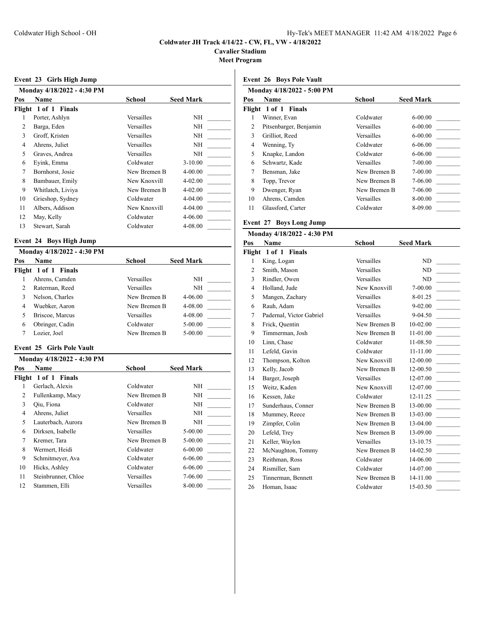**Cavalier Stadium**

**Meet Program**

| Event 23 Girls High Jump |  |  |
|--------------------------|--|--|
|                          |  |  |

|     | Monday 4/18/2022 - 4:30 PM |              |                  |
|-----|----------------------------|--------------|------------------|
| Pos | Name                       | School       | <b>Seed Mark</b> |
|     | Flight 1 of 1 Finals       |              |                  |
| 1   | Porter, Ashlyn             | Versailles   | NΗ               |
| 2   | Barga, Eden                | Versailles   | NΗ               |
| 3   | Groff, Kristen             | Versailles   | NΗ               |
| 4   | Ahrens, Juliet             | Versailles   | NΗ               |
| 5   | Graves, Andrea             | Versailles   | NΗ               |
| 6   | Eyink, Emma                | Coldwater    | $3 - 10.00$      |
| 7   | Bornhorst, Josie           | New Bremen B | 4-00.00          |
| 8   | Bambauer, Emily            | New Knoxvill | $4 - 02.00$      |
| 9   | Whitlatch, Liviya          | New Bremen B | $4 - 02.00$      |
| 10  | Grieshop, Sydney           | Coldwater    | 4-04.00          |
| 11  | Albers, Addison            | New Knoxvill | 4-04.00          |
| 12  | May, Kelly                 | Coldwater    | 4-06.00          |
| 13  | Stewart, Sarah             | Coldwater    | 4-08.00          |
|     |                            |              |                  |

### **Event 24 Boys High Jump**

| Monday 4/18/2022 - 4:30 PM |              |                  |
|----------------------------|--------------|------------------|
| <b>Name</b>                | School       | <b>Seed Mark</b> |
| Flight 1 of 1 Finals       |              |                  |
| Ahrens, Camden             | Versailles   | NH               |
| Raterman, Reed             | Versailles   | NH               |
| Nelson, Charles            | New Bremen B | $4 - 06.00$      |
| Wuebker, Aaron             | New Bremen B | $4 - 08.00$      |
| Briscoe, Marcus            | Versailles   | $4 - 08.00$      |
| Obringer, Cadin            | Coldwater    | $5 - 00.00$      |
| Lozier, Joel               | New Bremen B | $5 - 00.00$      |
|                            |              |                  |

#### **Event 25 Girls Pole Vault**

|        | Monday 4/18/2022 - 4:30 PM |              |                  |
|--------|----------------------------|--------------|------------------|
| Pos    | Name                       | School       | <b>Seed Mark</b> |
| Flight | 1 of 1 Finals              |              |                  |
|        | Gerlach, Alexis            | Coldwater    | NΗ               |
| 2      | Fullenkamp, Macy           | New Bremen B | NΗ               |
| 3      | Oiu, Fiona                 | Coldwater    | NΗ               |
| 4      | Ahrens, Juliet             | Versailles   | NΗ               |
| 5      | Lauterbach, Aurora         | New Bremen B | NΗ               |
| 6      | Dirksen, Isabelle          | Versailles   | $5 - 00.00$      |
| 7      | Kremer, Tara               | New Bremen B | $5 - 00.00$      |
| 8      | Wermert, Heidi             | Coldwater    | $6 - 00.00$      |
| 9      | Schmitmeyer, Ava           | Coldwater    | $6 - 06.00$      |
| 10     | Hicks, Ashley              | Coldwater    | $6 - 06.00$      |
| 11     | Steinbrunner, Chloe        | Versailles   | 7-06.00          |
| 12     | Stammen, Elli              | Versailles   | 8-00.00          |

### **Event 26 Boys Pole Vault**

|     | Monday 4/18/2022 - 5:00 PM |                   |                  |
|-----|----------------------------|-------------------|------------------|
| Pos | <b>Name</b>                | School            | <b>Seed Mark</b> |
|     | Flight 1 of 1 Finals       |                   |                  |
| 1   | Winner, Evan               | Coldwater         | $6 - 00.00$      |
| 2   | Pitsenbarger, Benjamin     | Versailles        | $6 - 00.00$      |
| 3   | Grilliot, Reed             | Versailles        | $6 - 00.00$      |
| 4   | Wenning, Ty                | Coldwater         | $6 - 06.00$      |
| 5   | Knapke, Landon             | Coldwater         | $6 - 06.00$      |
| 6   | Schwartz, Kade             | Versailles        | $7 - 00.00$      |
| 7   | Bensman, Jake              | New Bremen B      | $7 - 00.00$      |
| 8   | Topp, Trevor               | New Bremen B      | 7-06.00          |
| 9   | Dwenger, Ryan              | New Bremen B      | 7-06.00          |
| 10  | Ahrens, Camden             | <b>Versailles</b> | 8-00.00          |
| 11  | Glassford, Carter          | Coldwater         | 8-09.00          |
|     |                            |                   |                  |

## **Event 27 Boys Long Jump**

## **Monday 4/18/2022 - 4:30 PM Pos Name School Seed Mark Flight 1 of 1 Finals** 1 King, Logan Versailles ND 2 Smith, Mason Versailles ND 3 Rindler, Owen Versailles ND 4 Holland, Jude New Knoxvill 7-00.00 5 Mangen, Zachary Versailles 8-01.25 6 Rauh, Adam Versailles 9-02.00 7 Padernal, Victor Gabriel Versailles 9-04.50 8 Frick, Quentin New Bremen B 10-02.00 9 Timmerman, Josh New Bremen B 11-01.00 10 Linn, Chase Coldwater 11-08.50 11 Lefeld, Gavin Coldwater 11-11.00 12 Thompson, Kolton New Knoxvill 12-00.00 13 Kelly, Jacob New Bremen B 12-00.50 14 Barger, Joseph Versailles 12-07.00 15 Weitz, Kaden New Knoxvill 12-07.00 16 Kessen, Jake Coldwater 12-11.25 17 Sunderhaus, Conner New Bremen B 13-00.00 18 Mummey, Reece New Bremen B 13-03.00 19 Zimpfer, Colin New Bremen B 13-04.00 20 Lefeld, Trey New Bremen B 13-09.00 21 Keller, Waylon Versailles 13-10.75 22 McNaughton, Tommy New Bremen B 14-02.50 23 Reithman, Ross Coldwater 14-06.00 24 Rismiller, Sam Coldwater 14-07.00 25 Tinnerman, Bennett New Bremen B 14-11.00 26 Homan, Isaac Coldwater 15-03.50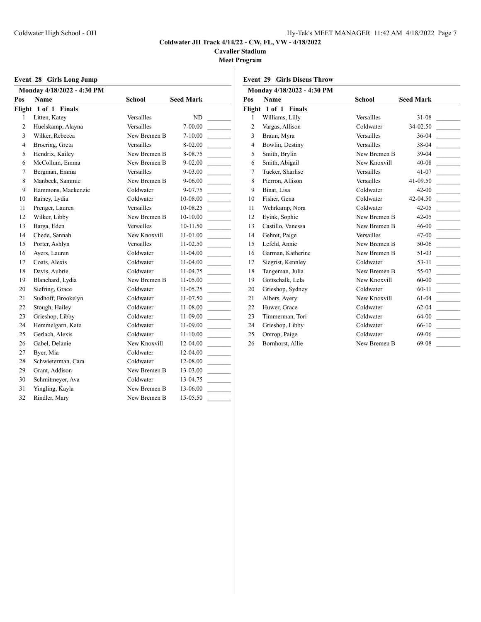**Cavalier Stadium**

**Meet Program**

|  | Event 28 Girls Long Jump |
|--|--------------------------|
|  |                          |

|                | Event 28 Girls Long Jump   |               |                  |                | <b>Event 29 Girls Discus Throw</b> |
|----------------|----------------------------|---------------|------------------|----------------|------------------------------------|
|                | Monday 4/18/2022 - 4:30 PM |               |                  |                | Monday 4/18/2022 - 4:30 PM         |
| Pos            | <b>Name</b>                | <b>School</b> | <b>Seed Mark</b> | Pos            | Name                               |
|                | Flight 1 of 1 Finals       |               |                  |                | Flight 1 of 1 Finals               |
| 1              | Litten, Katey              | Versailles    | ND               | 1              | Williams, Lilly                    |
| $\overline{c}$ | Huelskamp, Alayna          | Versailles    | 7-00.00          | $\overline{2}$ | Vargas, Allison                    |
| 3              | Wilker, Rebecca            | New Bremen B  | $7 - 10.00$      | 3              | Braun, Myra                        |
| $\overline{4}$ | Broering, Greta            | Versailles    | 8-02.00          | $\overline{4}$ | Bowlin, Destiny                    |
| 5              | Hendrix, Kailey            | New Bremen B  | 8-08.75          | 5              | Smith, Brylin                      |
| 6              | McCollum, Emma             | New Bremen B  | $9 - 02.00$      | 6              | Smith, Abigail                     |
| 7              | Bergman, Emma              | Versailles    | 9-03.00          | $\overline{7}$ | Tucker, Sharlise                   |
| 8              | Manbeck, Sammie            | New Bremen B  | 9-06.00          | 8              | Pierron, Allison                   |
| 9              | Hammons, Mackenzie         | Coldwater     | 9-07.75          | 9              | Binat, Lisa                        |
| 10             | Rainey, Lydia              | Coldwater     | 10-08.00         | 10             | Fisher, Gena                       |
| 11             | Prenger, Lauren            | Versailles    | 10-08.25         | 11             | Wehrkamp, Nora                     |
| 12             | Wilker, Libby              | New Bremen B  | $10-10.00$       | 12             | Eyink, Sophie                      |
| 13             | Barga, Eden                | Versailles    | $10-11.50$       | 13             | Castillo, Vanessa                  |
| 14             | Chede, Sannah              | New Knoxvill  | 11-01.00         | 14             | Gehret, Paige                      |
| 15             | Porter, Ashlyn             | Versailles    | $11 - 02.50$     | 15             | Lefeld, Annie                      |
| 16             | Ayers, Lauren              | Coldwater     | 11-04.00         | 16             | Garman, Katherine                  |
| 17             | Coats, Alexis              | Coldwater     | 11-04.00         | 17             | Siegrist, Kennley                  |
| 18             | Davis, Aubrie              | Coldwater     | $11-04.75$       | 18             | Tangeman, Julia                    |
| 19             | Blanchard, Lydia           | New Bremen B  | 11-05.00         | 19             | Gottschalk, Lela                   |
| 20             | Siefring, Grace            | Coldwater     | $11-05.25$       | 20             | Grieshop, Sydney                   |
| 21             | Sudhoff, Brookelyn         | Coldwater     | $11-07.50$       | 21             | Albers, Avery                      |
| 22             | Stough, Hailey             | Coldwater     | $11 - 08.00$     | 22             | Huwer, Grace                       |
| 23             | Grieshop, Libby            | Coldwater     | $11-09.00$       | 23             | Timmerman, Tori                    |
| 24             | Hemmelgarn, Kate           | Coldwater     | 11-09.00         | 24             | Grieshop, Libby                    |
| 25             | Gerlach, Alexis            | Coldwater     | $11 - 10.00$     | 25             | Ontrop, Paige                      |
| 26             | Gabel, Delanie             | New Knoxvill  | 12-04.00         | 26             | Bornhorst, Allie                   |
| 27             | Byer, Mia                  | Coldwater     | $12-04.00$       |                |                                    |
| 28             | Schwieterman, Cara         | Coldwater     | 12-08.00         |                |                                    |
| 29             | Grant, Addison             | New Bremen B  | $13 - 03.00$     |                |                                    |
| 30             | Schmitmeyer, Ava           | Coldwater     | 13-04.75         |                |                                    |
| 31             | Yingling, Kayla            | New Bremen B  | 13-06.00         |                |                                    |
| 32             | Rindler, Mary              | New Bremen B  | 15-05.50         |                |                                    |
|                |                            |               |                  |                |                                    |

|                | Monday 4/18/2022 - 4:30 PM |                   |                  |
|----------------|----------------------------|-------------------|------------------|
| Pos            | <b>Name</b>                | School            | <b>Seed Mark</b> |
|                | Flight 1 of 1 Finals       |                   |                  |
| 1              | Williams, Lilly            | Versailles        | $31-08$          |
| $\overline{2}$ | Vargas, Allison            | Coldwater         | 34-02.50         |
| 3              | Braun, Myra                | Versailles        | $36-04$          |
| $\overline{4}$ | Bowlin, Destiny            | Versailles        | $38-04$          |
| 5              | Smith, Brylin              | New Bremen B      | $39-04$          |
| 6              | Smith, Abigail             | New Knoxvill      | $40 - 08$        |
| 7              | Tucker, Sharlise           | <b>Versailles</b> | $41 - 07$        |
| 8              | Pierron, Allison           | Versailles        | $41 - 09.50$     |
| 9              | Binat, Lisa                | Coldwater         | $42 - 00$        |
| 10             | Fisher, Gena               | Coldwater         | $42 - 04.50$     |
| 11             | Wehrkamp, Nora             | Coldwater         | $42 - 05$        |
| 12             | Eyink, Sophie              | New Bremen B      | $42 - 05$        |
| 13             | Castillo, Vanessa          | New Bremen B      | $46 - 00$        |
| 14             | Gehret, Paige              | Versailles        | $47 - 00$        |
| 15             | Lefeld, Annie              | New Bremen B      | 50-06            |
| 16             | Garman, Katherine          | New Bremen B      | 51-03            |
| 17             | Siegrist, Kennley          | Coldwater         | $53-11$          |
| 18             | Tangeman, Julia            | New Bremen B      | 55-07            |
| 19             | Gottschalk, Lela           | New Knoxvill      | $60 - 00$        |
| 20             | Grieshop, Sydney           | Coldwater         | $60-11$          |
| 21             | Albers, Avery              | New Knoxvill      | $61 - 04$        |
| 22             | Huwer, Grace               | Coldwater         | $62 - 04$        |
| 23             | Timmerman, Tori            | Coldwater         | 64-00            |
| 24             | Grieshop, Libby            | Coldwater         | 66-10            |
| 25             | Ontrop, Paige              | Coldwater         | 69-06            |
| 26             | Bornhorst, Allie           | New Bremen B      | 69-08            |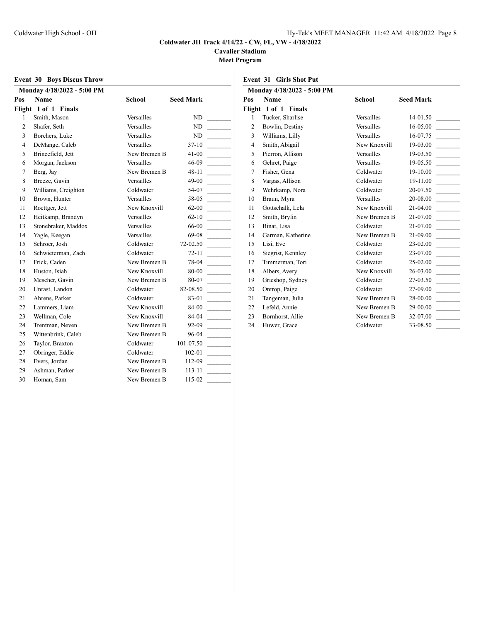**Cavalier Stadium**

**Meet Program**

|  | <b>Event 30 Boys Discus Throw</b> |  |
|--|-----------------------------------|--|
|  |                                   |  |

|                | <b>Event 30 Boys Discus Throw</b> |               |                                              |                | <b>Event 31 Girls Shot Put</b> |
|----------------|-----------------------------------|---------------|----------------------------------------------|----------------|--------------------------------|
|                | Monday 4/18/2022 - 5:00 PM        |               |                                              |                | Monday 4/18/2022 - 5:00        |
| Pos            | Name                              | <b>School</b> | <b>Seed Mark</b>                             | Pos            | <b>Name</b>                    |
|                | Flight 1 of 1 Finals              |               |                                              |                | Flight 1 of 1 Finals           |
| 1              | Smith, Mason                      | Versailles    | ND                                           | $\mathbf{1}$   | Tucker, Sharlise               |
| $\overline{c}$ | Shafer, Seth                      | Versailles    | ND                                           | $\overline{c}$ | Bowlin, Destiny                |
| 3              | Borchers, Luke                    | Versailles    | ND                                           | 3              | Williams, Lilly                |
| $\overline{4}$ | DeMange, Caleb                    | Versailles    | $37-10$                                      | $\overline{4}$ | Smith, Abigail                 |
| 5              | Brincefield, Jett                 | New Bremen B  | $41 - 00$                                    | 5              | Pierron, Allison               |
| 6              | Morgan, Jackson                   | Versailles    | 46-09                                        | 6              | Gehret, Paige                  |
| 7              | Berg, Jay                         | New Bremen B  | $48 - 11$                                    | $\overline{7}$ | Fisher, Gena                   |
| 8              | Breeze, Gavin                     | Versailles    | $49 - 00$                                    | 8              | Vargas, Allison                |
| 9              | Williams, Creighton               | Coldwater     | 54-07                                        | 9              | Wehrkamp, Nora                 |
| 10             | Brown, Hunter                     | Versailles    | 58-05                                        | 10             | Braun, Myra                    |
| 11             | Roettger, Jett                    | New Knoxvill  | $62 - 00$                                    | 11             | Gottschalk, Lela               |
| 12             | Heitkamp, Brandyn                 | Versailles    | $62 - 10$                                    | 12             | Smith, Brylin                  |
| 13             | Stonebraker, Maddox               | Versailles    | 66-00                                        | 13             | Binat, Lisa                    |
| 14             | Yagle, Keegan                     | Versailles    | 69-08                                        | 14             | Garman, Katherine              |
| 15             | Schroer, Josh                     | Coldwater     | 72-02.50                                     | 15             | Lisi, Eve                      |
| 16             | Schwieterman, Zach                | Coldwater     | $72 - 11$                                    | 16             | Siegrist, Kennley              |
| 17             | Frick, Caden                      | New Bremen B  | 78-04                                        | 17             | Timmerman, Tori                |
| 18             | Huston, Isiah                     | New Knoxvill  | 80-00                                        | 18             | Albers, Avery                  |
| 19             | Mescher, Gavin                    | New Bremen B  | 80-07                                        | 19             | Grieshop, Sydney               |
| 20             | Unrast, Landon                    | Coldwater     | 82-08.50                                     | 20             | Ontrop, Paige                  |
| 21             | Ahrens, Parker                    | Coldwater     | 83-01                                        | 21             | Tangeman, Julia                |
| 22             | Lammers, Liam                     | New Knoxvill  | 84-00                                        | 22             | Lefeld, Annie                  |
| 23             | Wellman, Cole                     | New Knoxvill  | 84-04                                        | 23             | Bornhorst, Allie               |
| 24             | Trentman, Neven                   | New Bremen B  | 92-09                                        | 24             | Huwer, Grace                   |
| 25             | Wittenbrink, Caleb                | New Bremen B  | 96-04                                        |                |                                |
| 26             | Taylor, Braxton                   | Coldwater     | 101-07.50<br>$\frac{1}{2}$ and $\frac{1}{2}$ |                |                                |
| 27             | Obringer, Eddie                   | Coldwater     | 102-01                                       |                |                                |
| 28             | Evers, Jordan                     | New Bremen B  | 112-09                                       |                |                                |
| 29             | Ashman, Parker                    | New Bremen B  | $113 - 11$                                   |                |                                |
| 30             | Homan, Sam                        | New Bremen B  | 115-02                                       |                |                                |
|                |                                   |               |                                              |                |                                |

|                | Monday 4/18/2022 - 5:00 PM |               |                  |
|----------------|----------------------------|---------------|------------------|
| Pos            | <b>Name</b>                | <b>School</b> | <b>Seed Mark</b> |
|                | Flight 1 of 1 Finals       |               |                  |
| $\mathbf{1}$   | Tucker, Sharlise           | Versailles    | 14-01.50         |
| 2              | Bowlin, Destiny            | Versailles    | $16 - 05.00$     |
| 3              | Williams, Lilly            | Versailles    | 16-07.75         |
| $\overline{4}$ | Smith, Abigail             | New Knoxvill  | 19-03.00         |
| 5              | Pierron, Allison           | Versailles    | 19-03.50         |
| 6              | Gehret, Paige              | Versailles    | 19-05.50         |
| $\tau$         | Fisher, Gena               | Coldwater     | 19-10.00         |
| 8              | Vargas, Allison            | Coldwater     | 19-11.00         |
| 9              | Wehrkamp, Nora             | Coldwater     | 20-07.50         |
| 10             | Braun, Myra                | Versailles    | 20-08.00         |
| 11             | Gottschalk, Lela           | New Knoxvill  | 21-04.00         |
| 12             | Smith, Brylin              | New Bremen B  | 21-07.00         |
| 13             | Binat, Lisa                | Coldwater     | $21 - 07.00$     |
| 14             | Garman, Katherine          | New Bremen B  | 21-09.00         |
| 15             | Lisi, Eve                  | Coldwater     | 23-02.00         |
| 16             | Siegrist, Kennley          | Coldwater     | 23-07.00         |
| 17             | Timmerman, Tori            | Coldwater     | 25-02.00         |
| 18             | Albers, Avery              | New Knoxvill  | 26-03.00         |
| 19             | Grieshop, Sydney           | Coldwater     | 27-03.50         |
| 20             | Ontrop, Paige              | Coldwater     | 27-09.00         |
| 21             | Tangeman, Julia            | New Bremen B  | 28-00.00         |
| 22             | Lefeld, Annie              | New Bremen B  | 29-00.00         |
| 23             | Bornhorst, Allie           | New Bremen B  | 32-07.00         |
| 24             | Huwer, Grace               | Coldwater     | 33-08.50         |